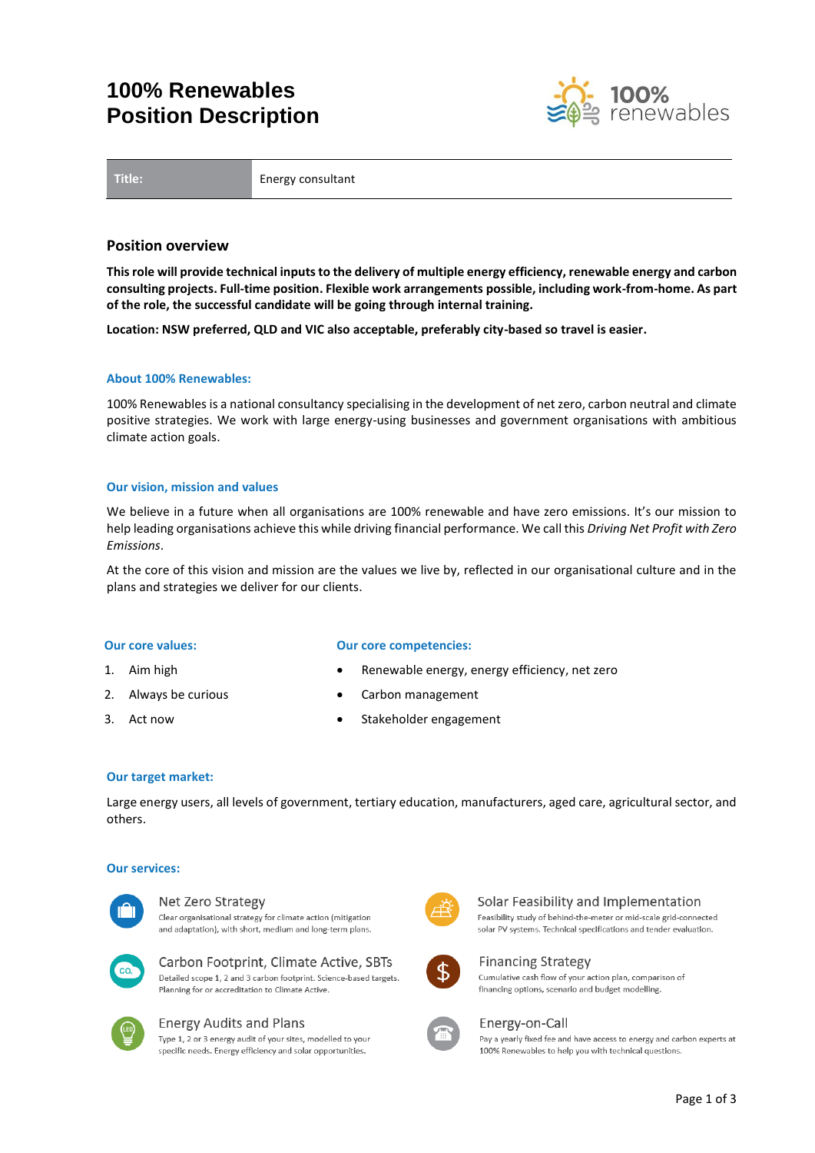# **100% Renewables Position Description**



**Title:** Energy consultant

## **Position overview**

**This role will provide technical inputs to the delivery of multiple energy efficiency, renewable energy and carbon consulting projects. Full-time position. Flexible work arrangements possible, including work-from-home. As part of the role, the successful candidate will be going through internal training.**

**Location: NSW preferred, QLD and VIC also acceptable, preferably city-based so travel is easier.**

### **About 100% Renewables:**

100% Renewables is a national consultancy specialising in the development of net zero, carbon neutral and climate positive strategies. We work with large energy-using businesses and government organisations with ambitious climate action goals.

### **Our vision, mission and values**

We believe in a future when all organisations are 100% renewable and have zero emissions. It's our mission to help leading organisations achieve this while driving financial performance. We call this *Driving Net Profit with Zero Emissions*.

At the core of this vision and mission are the values we live by, reflected in our organisational culture and in the plans and strategies we deliver for our clients.

### **Our core values:**

- 1. Aim high
- 2. Always be curious
- 3. Act now

### **Our core competencies:**

- Renewable energy, energy efficiency, net zero
- Carbon management
- Stakeholder engagement

## **Our target market:**

Large energy users, all levels of government, tertiary education, manufacturers, aged care, agricultural sector, and others.

### **Our services:**



#### Net Zero Strategy

Clear organisational strategy for climate action (mitigation and adaptation), with short, medium and long-term plans.



## Carbon Footprint, Climate Active, SBTs Detailed scope 1, 2 and 3 carbon footprint. Science-based targets.

Planning for or accreditation to Climate Active



# **Energy Audits and Plans**

Type 1, 2 or 3 energy audit of your sites, modelled to your specific needs. Energy efficiency and solar opportunities.



# Solar Feasibility and Implementation

Feasibility study of behind-the-meter or mid-scale grid-connected solar PV systems. Technical specifications and tender evaluation.



# **Financing Strategy**

Cumulative cash flow of your action plan, comparison of financing options, scenario and budget modelling.



### Energy-on-Call

Pay a yearly fixed fee and have access to energy and carbon experts at 100% Renewables to help you with technical questions.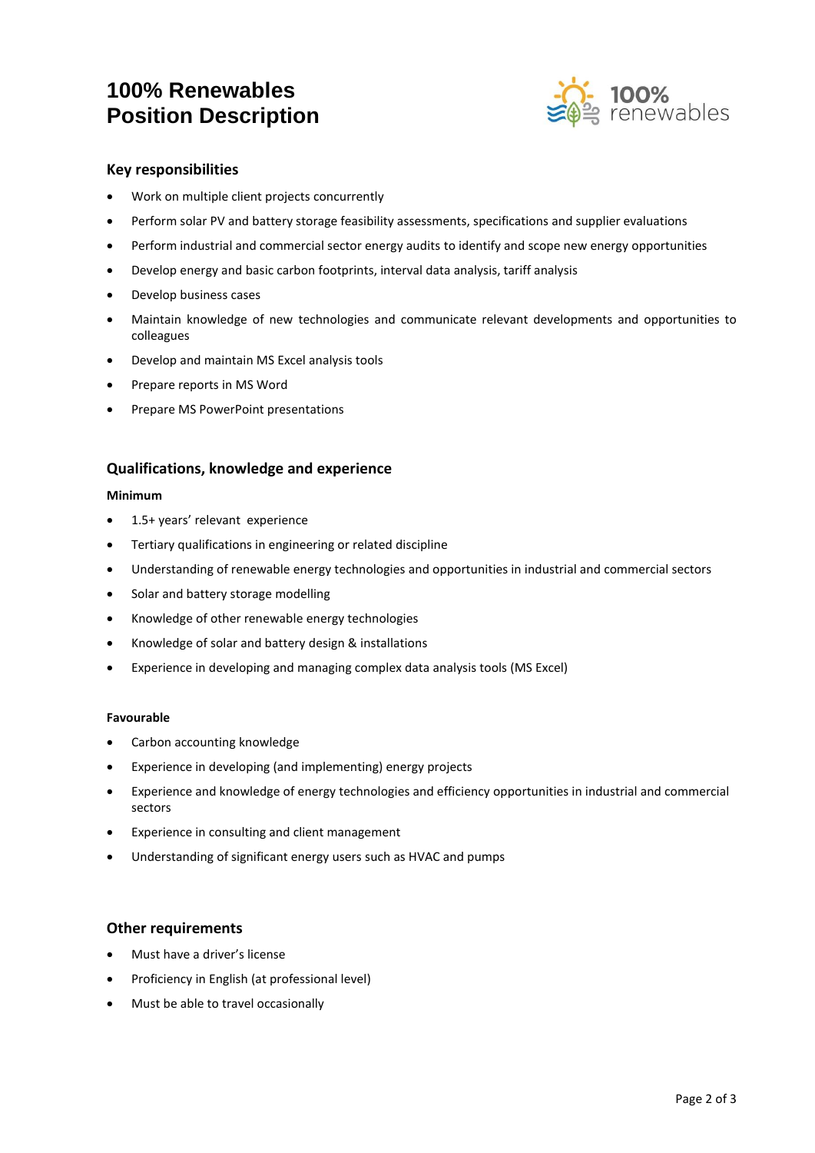# **100% Renewables Position Description**



# **Key responsibilities**

- Work on multiple client projects concurrently
- Perform solar PV and battery storage feasibility assessments, specifications and supplier evaluations
- Perform industrial and commercial sector energy audits to identify and scope new energy opportunities
- Develop energy and basic carbon footprints, interval data analysis, tariff analysis
- Develop business cases
- Maintain knowledge of new technologies and communicate relevant developments and opportunities to colleagues
- Develop and maintain MS Excel analysis tools
- Prepare reports in MS Word
- Prepare MS PowerPoint presentations

# **Qualifications, knowledge and experience**

## **Minimum**

- 1.5+ years' relevant experience
- Tertiary qualifications in engineering or related discipline
- Understanding of renewable energy technologies and opportunities in industrial and commercial sectors
- Solar and battery storage modelling
- Knowledge of other renewable energy technologies
- Knowledge of solar and battery design & installations
- Experience in developing and managing complex data analysis tools (MS Excel)

## **Favourable**

- Carbon accounting knowledge
- Experience in developing (and implementing) energy projects
- Experience and knowledge of energy technologies and efficiency opportunities in industrial and commercial sectors
- Experience in consulting and client management
- Understanding of significant energy users such as HVAC and pumps

# **Other requirements**

- Must have a driver's license
- Proficiency in English (at professional level)
- Must be able to travel occasionally